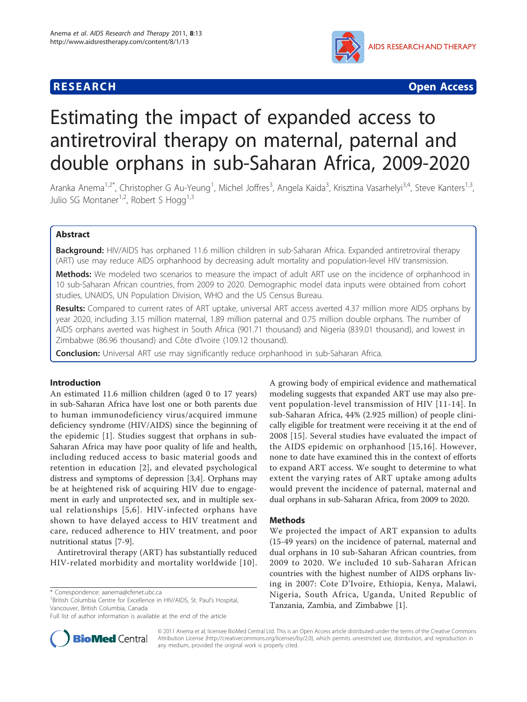

**RESEARCH CONTROL** CONTROL CONTROL CONTROL CONTROL CONTROL CONTROL CONTROL CONTROL CONTROL CONTROL CONTROL CONTROL

# Estimating the impact of expanded access to antiretroviral therapy on maternal, paternal and double orphans in sub-Saharan Africa, 2009-2020

Aranka Anema<sup>1,2\*</sup>, Christopher G Au-Yeung<sup>1</sup>, Michel Joffres<sup>3</sup>, Angela Kaida<sup>3</sup>, Krisztina Vasarhelyi<sup>3,4</sup>, Steve Kanters<sup>1,3</sup>, Julio SG Montaner<sup>1,2</sup>, Robert S Hogg<sup>1,3</sup>

# Abstract

Background: HIV/AIDS has orphaned 11.6 million children in sub-Saharan Africa. Expanded antiretroviral therapy (ART) use may reduce AIDS orphanhood by decreasing adult mortality and population-level HIV transmission.

Methods: We modeled two scenarios to measure the impact of adult ART use on the incidence of orphanhood in 10 sub-Saharan African countries, from 2009 to 2020. Demographic model data inputs were obtained from cohort studies, UNAIDS, UN Population Division, WHO and the US Census Bureau.

Results: Compared to current rates of ART uptake, universal ART access averted 4.37 million more AIDS orphans by year 2020, including 3.15 million maternal, 1.89 million paternal and 0.75 million double orphans. The number of AIDS orphans averted was highest in South Africa (901.71 thousand) and Nigeria (839.01 thousand), and lowest in Zimbabwe (86.96 thousand) and Côte d'Ivoire (109.12 thousand).

Conclusion: Universal ART use may significantly reduce orphanhood in sub-Saharan Africa.

# Introduction

An estimated 11.6 million children (aged 0 to 17 years) in sub-Saharan Africa have lost one or both parents due to human immunodeficiency virus/acquired immune deficiency syndrome (HIV/AIDS) since the beginning of the epidemic [[1](#page-6-0)]. Studies suggest that orphans in sub-Saharan Africa may have poor quality of life and health, including reduced access to basic material goods and retention in education [[2](#page-6-0)], and elevated psychological distress and symptoms of depression [[3](#page-6-0),[4](#page-6-0)]. Orphans may be at heightened risk of acquiring HIV due to engagement in early and unprotected sex, and in multiple sexual relationships [[5,6\]](#page-6-0). HIV-infected orphans have shown to have delayed access to HIV treatment and care, reduced adherence to HIV treatment, and poor nutritional status [[7-9](#page-6-0)].

Antiretroviral therapy (ART) has substantially reduced HIV-related morbidity and mortality worldwide [[10\]](#page-6-0).

\* Correspondence: [aanema@cfenet.ubc.ca](mailto:aanema@cfenet.ubc.ca)

<sup>1</sup> British Columbia Centre for Excellence in HIV/AIDS, St. Paul's Hospital, Vancouver, British Columbia, Canada



#### Methods

We projected the impact of ART expansion to adults (15-49 years) on the incidence of paternal, maternal and dual orphans in 10 sub-Saharan African countries, from 2009 to 2020. We included 10 sub-Saharan African countries with the highest number of AIDS orphans living in 2007: Cote D'Ivoire, Ethiopia, Kenya, Malawi, Nigeria, South Africa, Uganda, United Republic of Tanzania, Zambia, and Zimbabwe [\[1](#page-6-0)].



© 2011 Anema et al; licensee BioMed Central Ltd. This is an Open Access article distributed under the terms of the Creative Commons Attribution License [\(http://creativecommons.org/licenses/by/2.0](http://creativecommons.org/licenses/by/2.0)), which permits unrestricted use, distribution, and reproduction in any medium, provided the original work is properly cited.

Full list of author information is available at the end of the article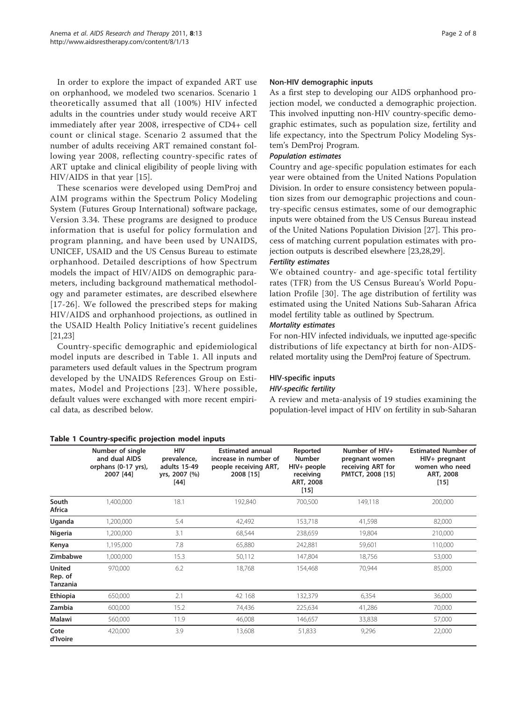In order to explore the impact of expanded ART use on orphanhood, we modeled two scenarios. Scenario 1 theoretically assumed that all (100%) HIV infected adults in the countries under study would receive ART immediately after year 2008, irrespective of CD4+ cell count or clinical stage. Scenario 2 assumed that the number of adults receiving ART remained constant following year 2008, reflecting country-specific rates of ART uptake and clinical eligibility of people living with HIV/AIDS in that year [[15\]](#page-6-0).

These scenarios were developed using DemProj and AIM programs within the Spectrum Policy Modeling System (Futures Group International) software package, Version 3.34. These programs are designed to produce information that is useful for policy formulation and program planning, and have been used by UNAIDS, UNICEF, USAID and the US Census Bureau to estimate orphanhood. Detailed descriptions of how Spectrum models the impact of HIV/AIDS on demographic parameters, including background mathematical methodology and parameter estimates, are described elsewhere [[17-26\]](#page-6-0). We followed the prescribed steps for making HIV/AIDS and orphanhood projections, as outlined in the USAID Health Policy Initiative's recent guidelines [[21,23\]](#page-6-0)

Country-specific demographic and epidemiological model inputs are described in Table 1. All inputs and parameters used default values in the Spectrum program developed by the UNAIDS References Group on Estimates, Model and Projections [[23](#page-6-0)]. Where possible, default values were exchanged with more recent empirical data, as described below.

### Table 1 Country-specific projection model inputs

#### Non-HIV demographic inputs

As a first step to developing our AIDS orphanhood projection model, we conducted a demographic projection. This involved inputting non-HIV country-specific demographic estimates, such as population size, fertility and life expectancy, into the Spectrum Policy Modeling System's DemProj Program.

#### Population estimates

Country and age-specific population estimates for each year were obtained from the United Nations Population Division. In order to ensure consistency between population sizes from our demographic projections and country-specific census estimates, some of our demographic inputs were obtained from the US Census Bureau instead of the United Nations Population Division [\[27](#page-6-0)]. This process of matching current population estimates with projection outputs is described elsewhere [\[23,28,29\]](#page-6-0).

#### Fertility estimates

We obtained country- and age-specific total fertility rates (TFR) from the US Census Bureau's World Population Profile [[30](#page-6-0)]. The age distribution of fertility was estimated using the United Nations Sub-Saharan Africa model fertility table as outlined by Spectrum.

#### Mortality estimates

For non-HIV infected individuals, we inputted age-specific distributions of life expectancy at birth for non-AIDSrelated mortality using the DemProj feature of Spectrum.

### HIV-specific inputs HIV-specific fertility

# A review and meta-analysis of 19 studies examining the population-level impact of HIV on fertility in sub-Saharan

|                                      | Number of single<br>and dual AIDS<br>orphans (0-17 yrs),<br>2007 [44] | <b>HIV</b><br>prevalence,<br>adults 15-49<br>yrs, 2007 (%)<br>$[44]$ | <b>Estimated annual</b><br>increase in number of<br>people receiving ART,<br>2008 [15] | Reported<br><b>Number</b><br>$HIV+$ people<br>receiving<br>ART, 2008<br>$[15]$ | Number of HIV+<br>pregnant women<br>receiving ART for<br>PMTCT, 2008 [15] | <b>Estimated Number of</b><br>HIV+ pregnant<br>women who need<br>ART, 2008<br>$[15]$ |
|--------------------------------------|-----------------------------------------------------------------------|----------------------------------------------------------------------|----------------------------------------------------------------------------------------|--------------------------------------------------------------------------------|---------------------------------------------------------------------------|--------------------------------------------------------------------------------------|
| South<br>Africa                      | 1,400,000                                                             | 18.1                                                                 | 192,840                                                                                | 700,500                                                                        | 149,118                                                                   | 200,000                                                                              |
| Uganda                               | 1,200,000                                                             | 5.4                                                                  | 42,492                                                                                 | 153,718                                                                        | 41,598                                                                    | 82,000                                                                               |
| Nigeria                              | 1,200,000                                                             | 3.1                                                                  | 68,544                                                                                 | 238,659                                                                        | 19,804                                                                    | 210,000                                                                              |
| Kenya                                | 1,195,000                                                             | 7.8                                                                  | 65,880                                                                                 | 242,881                                                                        | 59,601                                                                    | 110,000                                                                              |
| Zimbabwe                             | 1,000,000                                                             | 15.3                                                                 | 50,112                                                                                 | 147,804                                                                        | 18,756                                                                    | 53,000                                                                               |
| <b>United</b><br>Rep. of<br>Tanzania | 970,000                                                               | 6.2                                                                  | 18,768                                                                                 | 154,468                                                                        | 70,944                                                                    | 85,000                                                                               |
| Ethiopia                             | 650,000                                                               | 2.1                                                                  | 42 168                                                                                 | 132,379                                                                        | 6,354                                                                     | 36,000                                                                               |
| Zambia                               | 600,000                                                               | 15.2                                                                 | 74,436                                                                                 | 225,634                                                                        | 41,286                                                                    | 70,000                                                                               |
| Malawi                               | 560,000                                                               | 11.9                                                                 | 46,008                                                                                 | 146,657                                                                        | 33,838                                                                    | 57,000                                                                               |
| Cote<br>d'Ivoire                     | 420,000                                                               | 3.9                                                                  | 13,608                                                                                 | 51,833                                                                         | 9,296                                                                     | 22,000                                                                               |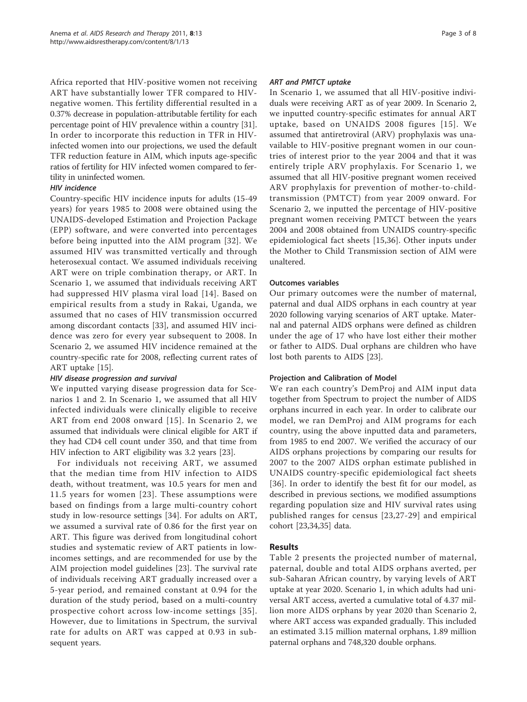Africa reported that HIV-positive women not receiving ART have substantially lower TFR compared to HIVnegative women. This fertility differential resulted in a 0.37% decrease in population-attributable fertility for each percentage point of HIV prevalence within a country [[31](#page-7-0)]. In order to incorporate this reduction in TFR in HIVinfected women into our projections, we used the default TFR reduction feature in AIM, which inputs age-specific ratios of fertility for HIV infected women compared to fertility in uninfected women.

# HIV incidence

Country-specific HIV incidence inputs for adults (15-49 years) for years 1985 to 2008 were obtained using the UNAIDS-developed Estimation and Projection Package (EPP) software, and were converted into percentages before being inputted into the AIM program [[32\]](#page-7-0). We assumed HIV was transmitted vertically and through heterosexual contact. We assumed individuals receiving ART were on triple combination therapy, or ART. In Scenario 1, we assumed that individuals receiving ART had suppressed HIV plasma viral load [[14\]](#page-6-0). Based on empirical results from a study in Rakai, Uganda, we assumed that no cases of HIV transmission occurred among discordant contacts [\[33](#page-7-0)], and assumed HIV incidence was zero for every year subsequent to 2008. In Scenario 2, we assumed HIV incidence remained at the country-specific rate for 2008, reflecting current rates of ART uptake [\[15\]](#page-6-0).

# HIV disease progression and survival

We inputted varying disease progression data for Scenarios 1 and 2. In Scenario 1, we assumed that all HIV infected individuals were clinically eligible to receive ART from end 2008 onward [[15](#page-6-0)]. In Scenario 2, we assumed that individuals were clinical eligible for ART if they had CD4 cell count under 350, and that time from HIV infection to ART eligibility was 3.2 years [\[23\]](#page-6-0).

For individuals not receiving ART, we assumed that the median time from HIV infection to AIDS death, without treatment, was 10.5 years for men and 11.5 years for women [[23](#page-6-0)]. These assumptions were based on findings from a large multi-country cohort study in low-resource settings [[34\]](#page-7-0). For adults on ART, we assumed a survival rate of 0.86 for the first year on ART. This figure was derived from longitudinal cohort studies and systematic review of ART patients in lowincomes settings, and are recommended for use by the AIM projection model guidelines [\[23](#page-6-0)]. The survival rate of individuals receiving ART gradually increased over a 5-year period, and remained constant at 0.94 for the duration of the study period, based on a multi-country prospective cohort across low-income settings [[35\]](#page-7-0). However, due to limitations in Spectrum, the survival rate for adults on ART was capped at 0.93 in subsequent years.

#### ART and PMTCT uptake

In Scenario 1, we assumed that all HIV-positive individuals were receiving ART as of year 2009. In Scenario 2, we inputted country-specific estimates for annual ART uptake, based on UNAIDS 2008 figures [[15](#page-6-0)]. We assumed that antiretroviral (ARV) prophylaxis was unavailable to HIV-positive pregnant women in our countries of interest prior to the year 2004 and that it was entirely triple ARV prophylaxis. For Scenario 1, we assumed that all HIV-positive pregnant women received ARV prophylaxis for prevention of mother-to-childtransmission (PMTCT) from year 2009 onward. For Scenario 2, we inputted the percentage of HIV-positive pregnant women receiving PMTCT between the years 2004 and 2008 obtained from UNAIDS country-specific epidemiological fact sheets [[15](#page-6-0)[,36](#page-7-0)]. Other inputs under the Mother to Child Transmission section of AIM were unaltered.

#### Outcomes variables

Our primary outcomes were the number of maternal, paternal and dual AIDS orphans in each country at year 2020 following varying scenarios of ART uptake. Maternal and paternal AIDS orphans were defined as children under the age of 17 who have lost either their mother or father to AIDS. Dual orphans are children who have lost both parents to AIDS [[23](#page-6-0)].

# Projection and Calibration of Model

We ran each country's DemProj and AIM input data together from Spectrum to project the number of AIDS orphans incurred in each year. In order to calibrate our model, we ran DemProj and AIM programs for each country, using the above inputted data and parameters, from 1985 to end 2007. We verified the accuracy of our AIDS orphans projections by comparing our results for 2007 to the 2007 AIDS orphan estimate published in UNAIDS country-specific epidemiological fact sheets [[36](#page-7-0)]. In order to identify the best fit for our model, as described in previous sections, we modified assumptions regarding population size and HIV survival rates using published ranges for census [[23,27-29\]](#page-6-0) and empirical cohort [[23,](#page-6-0)[34](#page-7-0),[35](#page-7-0)] data.

# Results

Table [2](#page-3-0) presents the projected number of maternal, paternal, double and total AIDS orphans averted, per sub-Saharan African country, by varying levels of ART uptake at year 2020. Scenario 1, in which adults had universal ART access, averted a cumulative total of 4.37 million more AIDS orphans by year 2020 than Scenario 2, where ART access was expanded gradually. This included an estimated 3.15 million maternal orphans, 1.89 million paternal orphans and 748,320 double orphans.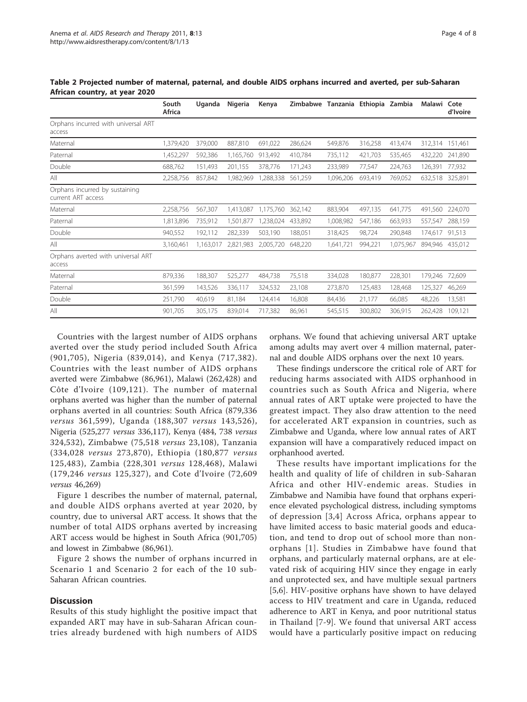|                                                      | South<br>Africa | Uganda    | Nigeria   | Kenya     | Zimbabwe | Tanzania Ethiopia Zambia |         |           | Malawi Cote     | d'Ivoire |
|------------------------------------------------------|-----------------|-----------|-----------|-----------|----------|--------------------------|---------|-----------|-----------------|----------|
| Orphans incurred with universal ART<br>access        |                 |           |           |           |          |                          |         |           |                 |          |
| Maternal                                             | 1,379,420       | 379,000   | 887,810   | 691,022   | 286,624  | 549,876                  | 316,258 | 413,474   | 312,314         | 151,461  |
| Paternal                                             | 1,452,297       | 592,386   | 1,165,760 | 913,492   | 410,784  | 735,112                  | 421,703 | 535,465   | 432,220         | 241,890  |
| Double                                               | 688,762         | 151.493   | 201,155   | 378,776   | 171,243  | 233,989                  | 77,547  | 224,763   | 126,391         | 77,932   |
| All                                                  | 2,258,756       | 857,842   | 1,982,969 | 1,288,338 | 561,259  | 1,096,206                | 693,419 | 769,052   | 632,518 325,891 |          |
| Orphans incurred by sustaining<br>current ART access |                 |           |           |           |          |                          |         |           |                 |          |
| Maternal                                             | 2,258,756       | 567,307   | 1,413,087 | 1.175.760 | 362,142  | 883,904                  | 497,135 | 641,775   | 491,560         | 224,070  |
| Paternal                                             | 1,813,896       | 735,912   | 1,501,877 | 1,238,024 | 433,892  | 1,008,982                | 547,186 | 663,933   | 557,547         | 288,159  |
| Double                                               | 940,552         | 192,112   | 282,339   | 503,190   | 188,051  | 318,425                  | 98,724  | 290,848   | 174,617         | 91,513   |
| All                                                  | 3,160,461       | 1,163,017 | 2,821,983 | 2,005,720 | 648,220  | 1,641,721                | 994,221 | 1,075,967 | 894.946         | 435,012  |
| Orphans averted with universal ART<br>access         |                 |           |           |           |          |                          |         |           |                 |          |
| Maternal                                             | 879,336         | 188,307   | 525,277   | 484,738   | 75,518   | 334,028                  | 180,877 | 228,301   | 179,246         | 72,609   |
| Paternal                                             | 361,599         | 143,526   | 336,117   | 324,532   | 23,108   | 273,870                  | 125,483 | 128,468   | 125,327         | 46,269   |
| Double                                               | 251,790         | 40,619    | 81,184    | 124,414   | 16,808   | 84,436                   | 21,177  | 66,085    | 48,226          | 13,581   |
| All                                                  | 901,705         | 305,175   | 839,014   | 717,382   | 86,961   | 545,515                  | 300,802 | 306,915   | 262,428         | 109.121  |

<span id="page-3-0"></span>Table 2 Projected number of maternal, paternal, and double AIDS orphans incurred and averted, per sub-Saharan African country, at year 2020

Countries with the largest number of AIDS orphans averted over the study period included South Africa (901,705), Nigeria (839,014), and Kenya (717,382). Countries with the least number of AIDS orphans averted were Zimbabwe (86,961), Malawi (262,428) and Côte d'Ivoire (109,121). The number of maternal orphans averted was higher than the number of paternal orphans averted in all countries: South Africa (879,336 versus 361,599), Uganda (188,307 versus 143,526), Nigeria (525,277 versus 336,117), Kenya (484, 738 versus 324,532), Zimbabwe (75,518 versus 23,108), Tanzania (334,028 versus 273,870), Ethiopia (180,877 versus 125,483), Zambia (228,301 versus 128,468), Malawi (179,246 versus 125,327), and Cote d'Ivoire (72,609 versus 46,269)

Figure [1](#page-4-0) describes the number of maternal, paternal, and double AIDS orphans averted at year 2020, by country, due to universal ART access. It shows that the number of total AIDS orphans averted by increasing ART access would be highest in South Africa (901,705) and lowest in Zimbabwe (86,961).

Figure [2](#page-4-0) shows the number of orphans incurred in Scenario 1 and Scenario 2 for each of the 10 sub-Saharan African countries.

# **Discussion**

Results of this study highlight the positive impact that expanded ART may have in sub-Saharan African countries already burdened with high numbers of AIDS

orphans. We found that achieving universal ART uptake among adults may avert over 4 million maternal, paternal and double AIDS orphans over the next 10 years.

These findings underscore the critical role of ART for reducing harms associated with AIDS orphanhood in countries such as South Africa and Nigeria, where annual rates of ART uptake were projected to have the greatest impact. They also draw attention to the need for accelerated ART expansion in countries, such as Zimbabwe and Uganda, where low annual rates of ART expansion will have a comparatively reduced impact on orphanhood averted.

These results have important implications for the health and quality of life of children in sub-Saharan Africa and other HIV-endemic areas. Studies in Zimbabwe and Namibia have found that orphans experience elevated psychological distress, including symptoms of depression [[3](#page-6-0),[4](#page-6-0)] Across Africa, orphans appear to have limited access to basic material goods and education, and tend to drop out of school more than nonorphans [[1](#page-6-0)]. Studies in Zimbabwe have found that orphans, and particularly maternal orphans, are at elevated risk of acquiring HIV since they engage in early and unprotected sex, and have multiple sexual partners [[5,6\]](#page-6-0). HIV-positive orphans have shown to have delayed access to HIV treatment and care in Uganda, reduced adherence to ART in Kenya, and poor nutritional status in Thailand [\[7](#page-6-0)-[9](#page-6-0)]. We found that universal ART access would have a particularly positive impact on reducing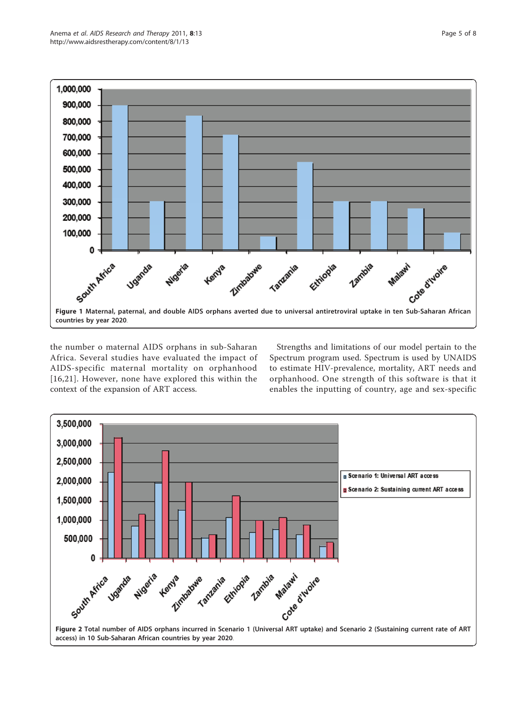<span id="page-4-0"></span>

the number o maternal AIDS orphans in sub-Saharan Africa. Several studies have evaluated the impact of AIDS-specific maternal mortality on orphanhood [[16](#page-6-0),[21](#page-6-0)]. However, none have explored this within the context of the expansion of ART access.

Strengths and limitations of our model pertain to the Spectrum program used. Spectrum is used by UNAIDS to estimate HIV-prevalence, mortality, ART needs and orphanhood. One strength of this software is that it enables the inputting of country, age and sex-specific

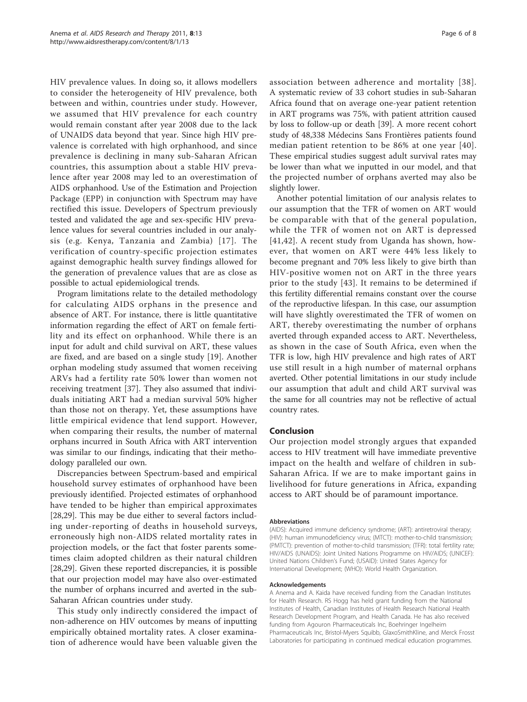HIV prevalence values. In doing so, it allows modellers to consider the heterogeneity of HIV prevalence, both between and within, countries under study. However, we assumed that HIV prevalence for each country would remain constant after year 2008 due to the lack of UNAIDS data beyond that year. Since high HIV prevalence is correlated with high orphanhood, and since prevalence is declining in many sub-Saharan African countries, this assumption about a stable HIV prevalence after year 2008 may led to an overestimation of AIDS orphanhood. Use of the Estimation and Projection Package (EPP) in conjunction with Spectrum may have rectified this issue. Developers of Spectrum previously tested and validated the age and sex-specific HIV prevalence values for several countries included in our analysis (e.g. Kenya, Tanzania and Zambia) [[17](#page-6-0)]. The verification of country-specific projection estimates against demographic health survey findings allowed for the generation of prevalence values that are as close as possible to actual epidemiological trends.

Program limitations relate to the detailed methodology for calculating AIDS orphans in the presence and absence of ART. For instance, there is little quantitative information regarding the effect of ART on female fertility and its effect on orphanhood. While there is an input for adult and child survival on ART, these values are fixed, and are based on a single study [\[19](#page-6-0)]. Another orphan modeling study assumed that women receiving ARVs had a fertility rate 50% lower than women not receiving treatment [[37\]](#page-7-0). They also assumed that individuals initiating ART had a median survival 50% higher than those not on therapy. Yet, these assumptions have little empirical evidence that lend support. However, when comparing their results, the number of maternal orphans incurred in South Africa with ART intervention was similar to our findings, indicating that their methodology paralleled our own.

Discrepancies between Spectrum-based and empirical household survey estimates of orphanhood have been previously identified. Projected estimates of orphanhood have tended to be higher than empirical approximates [[28,29\]](#page-6-0). This may be due either to several factors including under-reporting of deaths in household surveys, erroneously high non-AIDS related mortality rates in projection models, or the fact that foster parents sometimes claim adopted children as their natural children [[28,29\]](#page-6-0). Given these reported discrepancies, it is possible that our projection model may have also over-estimated the number of orphans incurred and averted in the sub-Saharan African countries under study.

This study only indirectly considered the impact of non-adherence on HIV outcomes by means of inputting empirically obtained mortality rates. A closer examination of adherence would have been valuable given the

association between adherence and mortality [[38\]](#page-7-0). A systematic review of 33 cohort studies in sub-Saharan Africa found that on average one-year patient retention in ART programs was 75%, with patient attrition caused by loss to follow-up or death [\[39](#page-7-0)]. A more recent cohort study of 48,338 Médecins Sans Frontières patients found median patient retention to be 86% at one year [\[40\]](#page-7-0). These empirical studies suggest adult survival rates may be lower than what we inputted in our model, and that the projected number of orphans averted may also be slightly lower.

Another potential limitation of our analysis relates to our assumption that the TFR of women on ART would be comparable with that of the general population, while the TFR of women not on ART is depressed [[41](#page-7-0),[42\]](#page-7-0). A recent study from Uganda has shown, however, that women on ART were 44% less likely to become pregnant and 70% less likely to give birth than HIV-positive women not on ART in the three years prior to the study [\[43](#page-7-0)]. It remains to be determined if this fertility differential remains constant over the course of the reproductive lifespan. In this case, our assumption will have slightly overestimated the TFR of women on ART, thereby overestimating the number of orphans averted through expanded access to ART. Nevertheless, as shown in the case of South Africa, even when the TFR is low, high HIV prevalence and high rates of ART use still result in a high number of maternal orphans averted. Other potential limitations in our study include our assumption that adult and child ART survival was the same for all countries may not be reflective of actual country rates.

#### Conclusion

Our projection model strongly argues that expanded access to HIV treatment will have immediate preventive impact on the health and welfare of children in sub-Saharan Africa. If we are to make important gains in livelihood for future generations in Africa, expanding access to ART should be of paramount importance.

#### Abbreviations

(AIDS): Acquired immune deficiency syndrome; (ART): antiretroviral therapy; (HIV): human immunodeficiency virus; (MTCT): mother-to-child transmission; (PMTCT): prevention of mother-to-child transmission; (TFR): total fertility rate; HIV/AIDS (UNAIDS): Joint United Nations Programme on HIV/AIDS; (UNICEF): United Nations Children's Fund; (USAID): United States Agency for International Development; (WHO): World Health Organization.

#### Acknowledgements

A Anema and A. Kaida have received funding from the Canadian Institutes for Health Research. RS Hogg has held grant funding from the National Institutes of Health, Canadian Institutes of Health Research National Health Research Development Program, and Health Canada. He has also received funding from Agouron Pharmaceuticals Inc, Boehringer Ingelheim Pharmaceuticals Inc, Bristol-Myers Squibb, GlaxoSmithKline, and Merck Frosst Laboratories for participating in continued medical education programmes.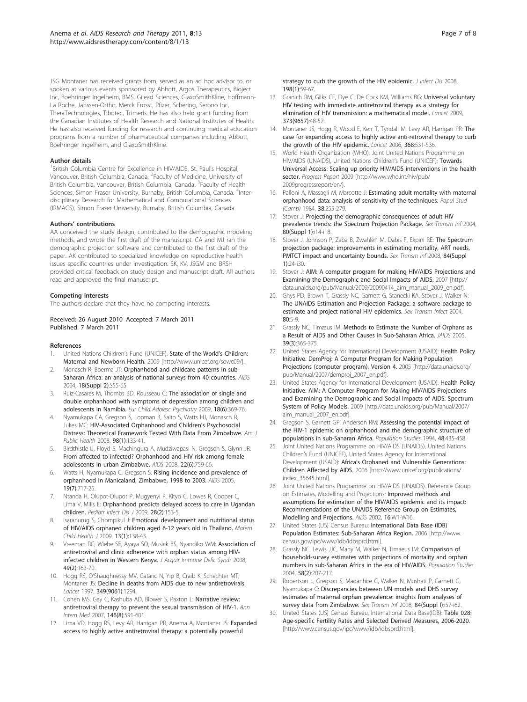<span id="page-6-0"></span>JSG Montaner has received grants from, served as an ad hoc advisor to, or spoken at various events sponsored by Abbott, Argos Therapeutics, Bioject Inc, Boehringer Ingelheim, BMS, Gilead Sciences, GlaxoSmithKline, Hoffmann-La Roche, Janssen-Ortho, Merck Frosst, Pfizer, Schering, Serono Inc, TheraTechnologies, Tibotec, Trimeris. He has also held grant funding from the Canadian Institutes of Health Research and National Institutes of Health. He has also received funding for research and continuing medical education programs from a number of pharmaceutical companies including Abbott, Boehringer Ingelheim, and GlaxoSmithKline.

#### Author details

<sup>1</sup> British Columbia Centre for Excellence in HIV/AIDS, St. Paul's Hospital, Vancouver, British Columbia, Canada. <sup>2</sup>Faculty of Medicine, University of British Columbia, Vancouver, British Columbia, Canada. <sup>3</sup>Faculty of Health Sciences, Simon Fraser University, Burnaby, British Columbia, Canada. <sup>4</sup>Interdisciplinary Research for Mathematical and Computational Sciences (IRMACS), Simon Fraser University, Burnaby, British Columbia, Canada.

#### Authors' contributions

AA conceived the study design, contributed to the demographic modeling methods, and wrote the first draft of the manuscript. CA and MJ ran the demographic projection software and contributed to the first draft of the paper. AK contributed to specialized knowledge on reproductive health issues specific countries under investigation. SK, KV, JSGM and BRSH provided critical feedback on study design and manuscript draft. All authors read and approved the final manuscript.

#### Competing interests

The authors declare that they have no competing interests.

#### Received: 26 August 2010 Accepted: 7 March 2011 Published: 7 March 2011

#### References

- United Nations Children's Fund (UNICEF): State of the World's Children: Maternal and Newborn Health. 2009 [<http://www.unicef.org/sowc09/>].
- Monasch R, Boerma JT: [Orphanhood and childcare patterns in sub-](http://www.ncbi.nlm.nih.gov/pubmed/15319744?dopt=Abstract)[Saharan Africa: an analysis of national surveys from 40 countries.](http://www.ncbi.nlm.nih.gov/pubmed/15319744?dopt=Abstract) AIDS 2004, 18(Suppl 2):S55-65.
- 3. Ruiz-Casares M, Thombs BD, Rousseau C: [The association of single and](http://www.ncbi.nlm.nih.gov/pubmed/19198922?dopt=Abstract) [double orphanhood with symptoms of depression among children and](http://www.ncbi.nlm.nih.gov/pubmed/19198922?dopt=Abstract) [adolescents in Namibia.](http://www.ncbi.nlm.nih.gov/pubmed/19198922?dopt=Abstract) Eur Child Adolesc Psychiatry 2009, 18(6):369-76.
- 4. Nyamukapa CA, Gregson S, Lopman B, Saito S, Watts HJ, Monasch R, Jukes MC: [HIV-Associated Orphanhood and Children](http://www.ncbi.nlm.nih.gov/pubmed/18048777?dopt=Abstract)'s Psychosocial [Distress: Theoretical Framework Tested With Data From Zimbabwe.](http://www.ncbi.nlm.nih.gov/pubmed/18048777?dopt=Abstract) Am J Public Health 2008, 98(1):133-41.
- 5. Birdthistle IJ, Floyd S, Machingura A, Mudziwapasi N, Gregson S, Glynn JR: [From affected to infected? Orphanhood and HIV risk among female](http://www.ncbi.nlm.nih.gov/pubmed/18356606?dopt=Abstract) [adolescents in urban Zimbabwe.](http://www.ncbi.nlm.nih.gov/pubmed/18356606?dopt=Abstract) AIDS 2008, 22(6):759-66.
- Watts H, Nyamukapa C, Gregson S: [Rising incidence and prevalence of](http://www.ncbi.nlm.nih.gov/pubmed/15821398?dopt=Abstract) [orphanhood in Manicaland, Zimbabwe, 1998 to 2003.](http://www.ncbi.nlm.nih.gov/pubmed/15821398?dopt=Abstract) AIDS 2005, 19(7):717-25.
- 7. Ntanda H, Olupot-Olupot P, Mugyenyi P, Kityo C, Lowes R, Cooper C, Lima V, Mills E: [Orphanhood predicts delayed access to care in Ugandan](http://www.ncbi.nlm.nih.gov/pubmed/19131904?dopt=Abstract) [children.](http://www.ncbi.nlm.nih.gov/pubmed/19131904?dopt=Abstract) Pediatr Infect Dis J 2009, 28(2):153-5.
- 8. Isaranurug S, Chompikul J: [Emotional development and nutritional status](http://www.ncbi.nlm.nih.gov/pubmed/18351448?dopt=Abstract) [of HIV/AIDS orphaned children aged 6-12 years old in Thailand.](http://www.ncbi.nlm.nih.gov/pubmed/18351448?dopt=Abstract) Matern Child Health J 2009, 13(1):138-43.
- 9. Vreeman RC, Wiehe SE, Ayaya SO, Musick BS, Nyandiko WM: [Association of](http://www.ncbi.nlm.nih.gov/pubmed/18769353?dopt=Abstract) [antiretroviral and clinic adherence with orphan status among HIV](http://www.ncbi.nlm.nih.gov/pubmed/18769353?dopt=Abstract)[infected children in Western Kenya.](http://www.ncbi.nlm.nih.gov/pubmed/18769353?dopt=Abstract) J Acquir Immune Defic Syndr 2008, 49(2):163-70.
- 10. Hogg RS, O'Shaughnessy MV, Gataric N, Yip B, Craib K, Schechter MT, Montaner JS: [Decline in deaths from AIDS due to new antiretrovirals.](http://www.ncbi.nlm.nih.gov/pubmed/9142067?dopt=Abstract) Lancet 1997, 349(9061):1294.
- 11. Cohen MS, Gay C, Kashuba AD, Blower S, Paxton L: [Narrative review:](http://www.ncbi.nlm.nih.gov/pubmed/17438318?dopt=Abstract) [antiretroviral therapy to prevent the sexual transmission of HIV-1.](http://www.ncbi.nlm.nih.gov/pubmed/17438318?dopt=Abstract) Ann Intern Med 2007, 146(8):591-601.
- 12. Lima VD, Hogg RS, Levy AR, Harrigan PR, Anema A, Montaner JS: [Expanded](http://www.ncbi.nlm.nih.gov/pubmed/18498241?dopt=Abstract) [access to highly active antiretroviral therapy: a potentially powerful](http://www.ncbi.nlm.nih.gov/pubmed/18498241?dopt=Abstract)

[strategy to curb the growth of the HIV epidemic.](http://www.ncbi.nlm.nih.gov/pubmed/18498241?dopt=Abstract) *J Infect Dis* 2008, 198(1):59-67.

- 13. Granich RM, Gilks CF, Dye C, De Cock KM, Williams BG: [Universal voluntary](http://www.ncbi.nlm.nih.gov/pubmed/19038438?dopt=Abstract) [HIV testing with immediate antiretroviral therapy as a strategy for](http://www.ncbi.nlm.nih.gov/pubmed/19038438?dopt=Abstract) [elimination of HIV transmission: a mathematical model.](http://www.ncbi.nlm.nih.gov/pubmed/19038438?dopt=Abstract) Lancet 2009, 373(9657):48-57.
- 14. Montaner JS, Hogg R, Wood E, Kerr T, Tyndall M, Levy AR, Harrigan PR: [The](http://www.ncbi.nlm.nih.gov/pubmed/16890841?dopt=Abstract) [case for expanding access to highly active anti-retroviral therapy to curb](http://www.ncbi.nlm.nih.gov/pubmed/16890841?dopt=Abstract) [the growth of the HIV epidemic.](http://www.ncbi.nlm.nih.gov/pubmed/16890841?dopt=Abstract) Lancet 2006, 368:531-536.
- 15. World Health Organization (WHO), Joint United Nations Programme on HIV/AIDS (UNAIDS), United Nations Children's Fund (UNICEF): Towards Universal Access: Scaling up priority HIV/AIDS interventions in the health sector. Progress Report 2009 [[http://www.who.int/hiv/pub/](http://www.who.int/hiv/pub/2009progressreport/en/) [2009progressreport/en/\]](http://www.who.int/hiv/pub/2009progressreport/en/).
- 16. Palloni A, Massagli M, Marcotte J: Estimating adult mortality with maternal orphanhood data: analysis of sensitivity of the techniques. Popul Stud (Camb) 1984, 38:255-279.
- 17. Stover J: Projecting the demographic consequences of adult HIV prevalence trends: the Spectrum Projection Package. Sex Transm Inf 2004, 80(Suppl 1):i14-i18.
- 18. Stover J, Johnson P, Zaba B, Zwahlen M, Dabis F, Ekpini RE: The Spectrum projection package: improvements in estimating mortality, ART needs, PMTCT impact and uncertainty bounds. Sex Transm Inf 2008, 84(Suppl 1):24-i30.
- 19. Stover J: AIM: A computer program for making HIV/AIDS Projections and Examining the Demographic and Social Impacts of AIDS. 2007 [[http://](http://data.unaids.org/pub/Manual/2009/20090414_aim_manual_2009_en.pdf) [data.unaids.org/pub/Manual/2009/20090414\\_aim\\_manual\\_2009\\_en.pdf](http://data.unaids.org/pub/Manual/2009/20090414_aim_manual_2009_en.pdf)].
- 20. Ghys PD, Brown T, Grassly NC, Garnett G, Stanecki KA, Stover J, Walker N: The UNAIDS Estimation and Projection Package: a software package to estimate and project national HIV epidemics. Sex Transm Infect 2004, 80:5-9.
- 21. Grassly NC, Timæus IM: [Methods to Estimate the Number of Orphans as](http://www.ncbi.nlm.nih.gov/pubmed/15980700?dopt=Abstract) [a Result of AIDS and Other Causes in Sub-Saharan Africa.](http://www.ncbi.nlm.nih.gov/pubmed/15980700?dopt=Abstract) JAIDS 2005, 39(3):365-375.
- 22. United States Agency for International Development (USAID): Health Policy Initiative. DemProj: A Computer Program for Making Population Projections (computer program), Version 4. 2005 [\[http://data.unaids.org/](http://data.unaids.org/pub/Manual/2007/demproj_2007_en.pdf) [pub/Manual/2007/demproj\\_2007\\_en.pdf](http://data.unaids.org/pub/Manual/2007/demproj_2007_en.pdf)].
- 23. United States Agency for International Development (USAID): Health Policy Initiative. AIM: A Computer Program for Making HIV/AIDS Projections and Examining the Demographic and Social Impacts of AIDS: Spectrum System of Policy Models. 2009 [\[http://data.unaids.org/pub/Manual/2007/](http://data.unaids.org/pub/Manual/2007/aim_manual_2007_en.pdf) [aim\\_manual\\_2007\\_en.pdf](http://data.unaids.org/pub/Manual/2007/aim_manual_2007_en.pdf)].
- 24. Gregson S, Garnett GP, Anderson RM: Assessing the potential impact of the HIV-1 epidemic on orphanhood and the demographic structure of populations in sub-Saharan Africa. Population Studies 1994, 48:435-458.
- 25. Joint United Nations Programme on HIV/AIDS (UNAIDS), United Nations Children's Fund (UNICEF), United States Agency for International Development (USAID): Africa's Orphaned and Vulnerable Generations: Children Affected by AIDS. 2006 [[http://www.unicef.org/publications/](http://www.unicef.org/publications/index_35645.html) [index\\_35645.html](http://www.unicef.org/publications/index_35645.html)].
- 26. Joint United Nations Programme on HIV/AIDS (UNAIDS). Reference Group on Estimates, Modelling and Projections: [Improved methods and](http://www.ncbi.nlm.nih.gov/pubmed/12045507?dopt=Abstract) [assumptions for estimation of the HIV/AIDS epidemic and its impact:](http://www.ncbi.nlm.nih.gov/pubmed/12045507?dopt=Abstract) [Recommendations of the UNAIDS Reference Group on Estimates,](http://www.ncbi.nlm.nih.gov/pubmed/12045507?dopt=Abstract) [Modelling and Projections.](http://www.ncbi.nlm.nih.gov/pubmed/12045507?dopt=Abstract) AIDS 2002, 16:W1-W16.
- 27. United States (US) Census Bureau: International Data Base (IDB) Population Estimates: Sub-Saharan Africa Region. 2006 [\[http://www.](http://www.census.gov/ipc/www/idb/idbsprd.html) [census.gov/ipc/www/idb/idbsprd.html](http://www.census.gov/ipc/www/idb/idbsprd.html)].
- 28. Grassly NC, Lewis JJC, Mahy M, Walker N, Timaeus IM: [Comparison of](http://www.ncbi.nlm.nih.gov/pubmed/15204254?dopt=Abstract) [household-survey estimates with projections of mortality and orphan](http://www.ncbi.nlm.nih.gov/pubmed/15204254?dopt=Abstract) [numbers in sub-Saharan Africa in the era of HIV/AIDS.](http://www.ncbi.nlm.nih.gov/pubmed/15204254?dopt=Abstract) Population Studies 2004, 58(2):207-217.
- 29. Robertson L, Gregson S, Madanhire C, Walker N, Mushati P, Garnett G, Nyamukapa C: Discrepancies between UN models and DHS survey estimates of maternal orphan prevalence: insights from analyses of survey data from Zimbabwe. Sex Transm Inf 2008, 84(Suppl I):i57-i62.
- 30. United States (US) Census Bureau, International Data Base(IDB): Table 028: Age-specific Fertility Rates and Selected Derived Measures, 2006-2020. [[http://www.census.gov/ipc/www/idb/idbsprd.html\]](http://www.census.gov/ipc/www/idb/idbsprd.html).